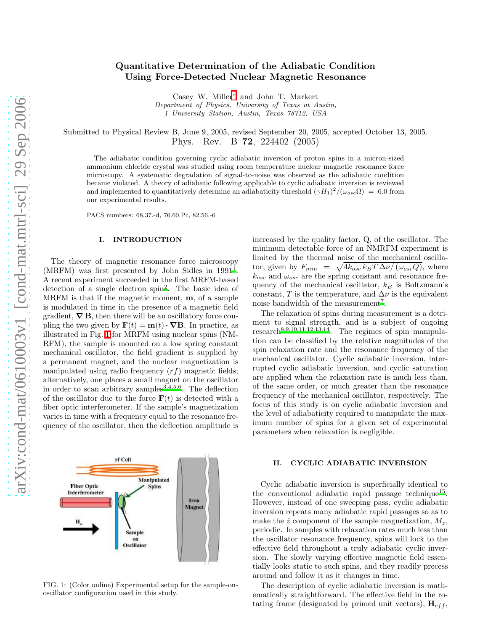# Quantitative Determination of the Adiabatic Condition Using Force-Detected Nuclear Magnetic Resonance

Casey W. Miller[∗](#page-3-0) and John T. Markert Department of Physics, University of Texas at Austin, 1 University Station, Austin, Texas 78712, USA

Submitted to Physical Review B, June 9, 2005, revised September 20, 2005, accepted October 13, 2005. Phys. Rev. B 72, 224402 (2005)

The adiabatic condition governing cyclic adiabatic inversion of proton spins in a micron-sized ammonium chloride crystal was studied using room temperature nuclear magnetic resonance force microscopy. A systematic degradation of signal-to-noise was observed as the adiabatic condition became violated. A theory of adiabatic following applicable to cyclic adiabatic inversion is reviewed and implemented to quantitatively determine an adiabaticity threshold  $(\gamma H_1)^2/(\omega_{osc}\Omega) = 6.0$  from our experimental results.

PACS numbers: 68.37.-d, 76.60.Pc, 82.56.-6

#### I. INTRODUCTION

The theory of magnetic resonance force microscopy (MRFM) was first presented by John Sidles in [1](#page-3-1)991<sup>1</sup>. A recent experiment succeeded in the first MRFM-based detection of a single electron spin[2](#page-3-2) . The basic idea of MRFM is that if the magnetic moment,  $\mathbf{m}$ , of a sample is modulated in time in the presence of a magnetic field gradient,  $\nabla$  B, then there will be an oscillatory force coupling the two given by  $\mathbf{F}(t) = \mathbf{m}(t) \cdot \nabla \mathbf{B}$ . In practice, as illustrated in Fig. [1](#page-0-0) for MRFM using nuclear spins (NM-RFM), the sample is mounted on a low spring constant mechanical oscillator, the field gradient is supplied by a permanent magnet, and the nuclear magnetization is manipulated using radio frequency  $(rf)$  magnetic fields; alternatively, one places a small magnet on the oscillator in order to scan arbitrary samples<sup>[3](#page-3-3)[,4](#page-4-0)[,5](#page-4-1)[,6](#page-4-2)</sup>. The deflection of the oscillator due to the force  $F(t)$  is detected with a fiber optic interferometer. If the sample's magnetization varies in time with a frequency equal to the resonance frequency of the oscillator, then the deflection amplitude is



<span id="page-0-0"></span>FIG. 1: (Color online) Experimental setup for the sample-onoscillator configuration used in this study.

increased by the quality factor, Q, of the oscillator. The minimum detectable force of an NMRFM experiment is limited by the thermal noise of the mechanical oscillator, given by  $F_{min} = \sqrt{4k_{osc}k_BT\Delta\nu/(\omega_{osc}Q)}$ , where  $k_{osc}$  and  $\omega_{osc}$  are the spring constant and resonance frequency of the mechanical oscillator,  $k_B$  is Boltzmann's constant, T is the temperature, and  $\Delta \nu$  is the equivalent noise bandwidth of the measurement<sup>[7](#page-4-3)</sup>.

The relaxation of spins during measurement is a detriment to signal strength, and is a subject of ongoing research $8,9,10,11,12,13,14$  $8,9,10,11,12,13,14$  $8,9,10,11,12,13,14$  $8,9,10,11,12,13,14$  $8,9,10,11,12,13,14$  $8,9,10,11,12,13,14$  $8,9,10,11,12,13,14$ . The regimes of spin manipulation can be classified by the relative magnitudes of the spin relaxation rate and the resonance frequency of the mechanical oscillator. Cyclic adiabatic inversion, interrupted cyclic adiabatic inversion, and cyclic saturation are applied when the relaxation rate is much less than, of the same order, or much greater than the resonance frequency of the mechanical oscillator, respectively. The focus of this study is on cyclic adiabatic inversion and the level of adiabaticity required to manipulate the maximum number of spins for a given set of experimental parameters when relaxation is negligible.

### II. CYCLIC ADIABATIC INVERSION

Cyclic adiabatic inversion is superficially identical to the conventional adiabatic rapid passage technique<sup>[15](#page-4-11)</sup>. However, instead of one sweeping pass, cyclic adiabatic inversion repeats many adiabatic rapid passages so as to make the  $\hat{z}$  component of the sample magnetization,  $M_z$ , periodic. In samples with relaxation rates much less than the oscillator resonance frequency, spins will lock to the effective field throughout a truly adiabatic cyclic inversion. The slowly varying effective magnetic field essentially looks static to such spins, and they readily precess around and follow it as it changes in time.

The description of cyclic adiabatic inversion is mathematically straightforward. The effective field in the rotating frame (designated by primed unit vectors),  $\mathbf{H}_{eff}$ ,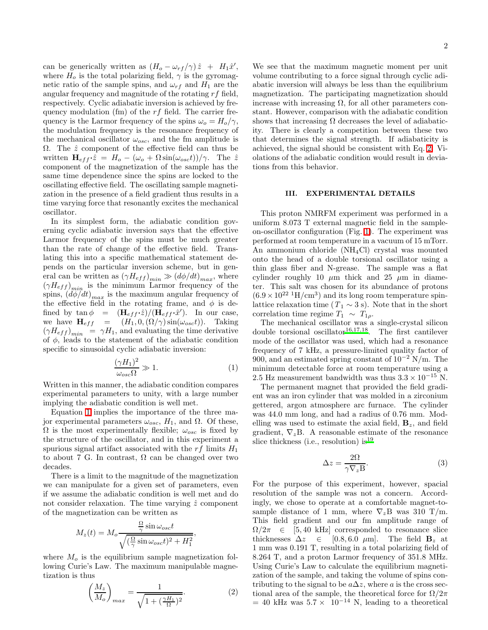can be generically written as  $(H_o - \omega_{rf}/\gamma) \hat{z} + H_1 \hat{x}',$ where  $H_o$  is the total polarizing field,  $\gamma$  is the gyromagnetic ratio of the sample spins, and  $\omega_{rf}$  and  $H_1$  are the angular frequency and magnitude of the rotating  $rf$  field, respectively. Cyclic adiabatic inversion is achieved by frequency modulation (fm) of the  $rf$  field. The carrier frequency is the Larmor frequency of the spins  $\omega_o = H_o/\gamma$ , the modulation frequency is the resonance frequency of the mechanical oscillator  $\omega_{osc}$ , and the fm amplitude is  $Ω.$  The  $\hat{z}$  component of the effective field can thus be written  $H_{eff} \cdot \hat{z} = H_o - (\omega_o + \Omega \sin(\omega_{osc} t))/\gamma$ . The  $\hat{z}$ component of the magnetization of the sample has the same time dependence since the spins are locked to the oscillating effective field. The oscillating sample magnetization in the presence of a field gradient thus results in a time varying force that resonantly excites the mechanical oscillator.

In its simplest form, the adiabatic condition governing cyclic adiabatic inversion says that the effective Larmor frequency of the spins must be much greater than the rate of change of the effective field. Translating this into a specific mathematical statement depends on the particular inversion scheme, but in general can be written as  $(\gamma H_{eff})_{min} \gg (d\phi/dt)_{max}$ , where  $(\gamma H_{eff})_{min}$  is the minimum Larmor frequency of the spins,  $\left(\frac{d\phi}{dt}\right)_{max}$  is the maximum angular frequency of the effective field in the rotating frame, and  $\phi$  is defined by  $\tan \phi = (\mathbf{H}_{eff} \cdot \hat{z})/(\mathbf{H}_{eff} \cdot \hat{x}^{\prime})$ . In our case, we have  $\mathbf{H}_{eff} = (H_1, 0, (\Omega/\gamma) \sin(\omega_{osc}t)).$  Taking  $(\gamma H_{eff})_{min} = \gamma H_1$ , and evaluating the time derivative of  $\phi$ , leads to the statement of the adiabatic condition specific to sinusoidal cyclic adiabatic inversion:

$$
\frac{(\gamma H_1)^2}{\omega_{osc}\Omega} \gg 1.
$$
 (1)

<span id="page-1-0"></span>Written in this manner, the adiabatic condition compares experimental parameters to unity, with a large number implying the adiabatic condition is well met.

Equation [1](#page-1-0) implies the importance of the three major experimental parameters  $ω_{osc}$ ,  $H_1$ , and  $Ω$ . Of these,  $\Omega$  is the most experimentally flexible;  $\omega_{osc}$  is fixed by the structure of the oscillator, and in this experiment a spurious signal artifact associated with the  $rf$  limits  $H_1$ to about 7 G. In contrast,  $\Omega$  can be changed over two decades.

There is a limit to the magnitude of the magnetization we can manipulate for a given set of parameters, even if we assume the adiabatic condition is well met and do not consider relaxation. The time varying  $\hat{z}$  component of the magnetization can be written as

$$
M_z(t) = M_o \frac{\frac{\Omega}{\gamma} \sin \omega_{osc} t}{\sqrt{(\frac{\Omega}{\gamma} \sin \omega_{osc} t)^2 + H_1^2}},
$$

<span id="page-1-1"></span>where  $M<sub>o</sub>$  is the equilibrium sample magnetization following Curie's Law. The maximum manipulable magnetization is thus

$$
\left(\frac{M_z}{M_o}\right)_{max} = \frac{1}{\sqrt{1 + (\frac{\gamma H_1}{\Omega})^2}}.\tag{2}
$$

We see that the maximum magnetic moment per unit volume contributing to a force signal through cyclic adiabatic inversion will always be less than the equilibrium magnetization. The participating magnetization should increase with increasing  $\Omega$ , for all other parameters constant. However, comparison with the adiabatic condition shows that increasing  $\Omega$  decreases the level of adiabaticity. There is clearly a competition between these two that determines the signal strength. If adiabaticity is achieved, the signal should be consistent with Eq. [2.](#page-1-1) Violations of the adiabatic condition would result in deviations from this behavior.

## III. EXPERIMENTAL DETAILS

This proton NMRFM experiment was performed in a uniform 8.073 T external magnetic field in the sampleon-oscillator configuration (Fig. [1\)](#page-0-0). The experiment was performed at room temperature in a vacuum of 15 mTorr. An ammonium chloride (NH4Cl) crystal was mounted onto the head of a double torsional oscillator using a thin glass fiber and N-grease. The sample was a flat cylinder roughly 10  $\mu$ m thick and 25  $\mu$ m in diameter. This salt was chosen for its abundance of protons  $(6.9 \times 10^{22} \text{ H/cm}^3)$  and its long room temperature spinlattice relaxation time ( $T_1 \sim 3$  s). Note that in the short correlation time regime  $T_1 \sim T_{1\rho}$ .

The mechanical oscillator was a single-crystal silicon double torsional oscillator<sup>[16,](#page-4-12)[17](#page-4-13)[,18](#page-4-14)</sup>. The first cantilever mode of the oscillator was used, which had a resonance frequency of 7 kHz, a pressure-limited quality factor of 900, and an estimated spring constant of  $10^{-2}$  N/m. The minimum detectable force at room temperature using a 2.5 Hz measurement bandwidth was thus  $3.3 \times 10^{-15}$  N.

The permanent magnet that provided the field gradient was an iron cylinder that was molded in a zirconium gettered, argon atmosphere arc furnace. The cylinder was 44.0 mm long, and had a radius of 0.76 mm. Modelling was used to estimate the axial field,  $B_z$ , and field gradient,  $\nabla_z B$ . A reasonable estimate of the resonance [s](#page-4-15)lice thickness (i.e., resolution) is  $19$ 

$$
\Delta z = \frac{2\Omega}{\gamma \nabla_z B}.
$$
\n(3)

<span id="page-1-2"></span>For the purpose of this experiment, however, spacial resolution of the sample was not a concern. Accordingly, we chose to operate at a comfortable magnet-tosample distance of 1 mm, where  $\nabla_z$ B was 310 T/m. This field gradient and our fm amplitude range of  $\Omega/2\pi \in [5, 40 \text{ kHz}]$  corresponded to resonance slice<br>thicknesses  $\Delta z \in [0.8, 6.0 \text{ }\mu\text{m}]$ . The field  $\mathbf{B}_z$  at [0.8, 6.0  $\mu$ m]. The field  $\mathbf{B}_z$  at 1 mm was 0.191 T, resulting in a total polarizing field of 8.264 T, and a proton Larmor frequency of 351.8 MHz. Using Curie's Law to calculate the equilibrium magnetization of the sample, and taking the volume of spins contributing to the signal to be  $a\Delta z$ , where a is the cross sectional area of the sample, the theoretical force for  $\Omega/2\pi$  $= 40$  kHz was  $5.7 \times 10^{-14}$  N, leading to a theoretical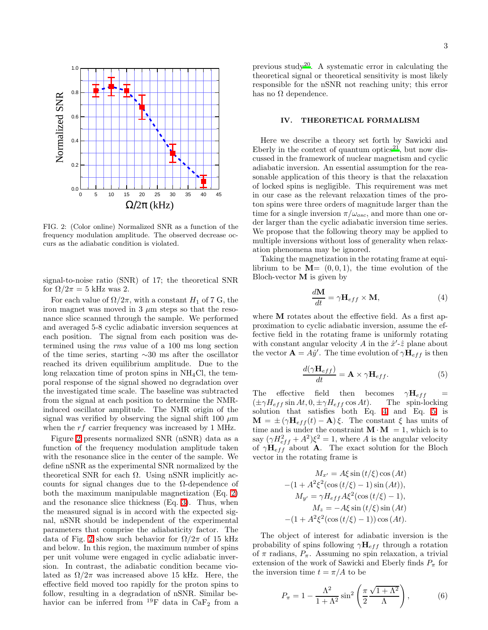

<span id="page-2-0"></span>FIG. 2: (Color online) Normalized SNR as a function of the frequency modulation amplitude. The observed decrease occurs as the adiabatic condition is violated.

signal-to-noise ratio (SNR) of 17; the theoretical SNR for  $\Omega/2\pi = 5$  kHz was 2.

For each value of  $\Omega/2\pi$ , with a constant  $H_1$  of 7 G, the iron magnet was moved in  $3 \mu m$  steps so that the resonance slice scanned through the sample. We performed and averaged 5-8 cyclic adiabatic inversion sequences at each position. The signal from each position was determined using the rms value of a 100 ms long section of the time series, starting ∼30 ms after the oscillator reached its driven equilibrium amplitude. Due to the long relaxation time of proton spins in  $NH<sub>4</sub>Cl$ , the temporal response of the signal showed no degradation over the investigated time scale. The baseline was subtracted from the signal at each position to determine the NMRinduced oscillator amplitude. The NMR origin of the signal was verified by observing the signal shift 100  $\mu$ m when the rf carrier frequency was increased by 1 MHz.

Figure [2](#page-2-0) presents normalized SNR (nSNR) data as a function of the frequency modulation amplitude taken with the resonance slice in the center of the sample. We define nSNR as the experimental SNR normalized by the theoretical SNR for each  $\Omega$ . Using nSNR implicitly accounts for signal changes due to the  $\Omega$ -dependence of both the maximum manipulable magnetization (Eq. [2\)](#page-1-1) and the resonance slice thickness (Eq. [3\)](#page-1-2). Thus, when the measured signal is in accord with the expected signal, nSNR should be independent of the experimental parameters that comprise the adiabaticity factor. The data of Fig. [2](#page-2-0) show such behavior for  $\Omega/2\pi$  of 15 kHz and below. In this region, the maximum number of spins per unit volume were engaged in cyclic adiabatic inversion. In contrast, the adiabatic condition became violated as  $\Omega/2\pi$  was increased above 15 kHz. Here, the effective field moved too rapidly for the proton spins to follow, resulting in a degradation of nSNR. Similar behavior can be inferred from  $^{19}$ F data in CaF<sub>2</sub> from a

previous study<sup>[20](#page-4-16)</sup>. A systematic error in calculating the theoretical signal or theoretical sensitivity is most likely responsible for the nSNR not reaching unity; this error has no  $\Omega$  dependence.

### IV. THEORETICAL FORMALISM

Here we describe a theory set forth by Sawicki and Eberly in the context of quantum optics<sup>[21](#page-4-17)</sup>, but now discussed in the framework of nuclear magnetism and cyclic adiabatic inversion. An essential assumption for the reasonable application of this theory is that the relaxation of locked spins is negligible. This requirement was met in our case as the relevant relaxation times of the proton spins were three orders of magnitude larger than the time for a single inversion  $\pi/\omega_{osc}$ , and more than one order larger than the cyclic adiabatic inversion time series. We propose that the following theory may be applied to multiple inversions without loss of generality when relaxation phenomena may be ignored.

Taking the magnetization in the rotating frame at equilibrium to be  $M=(0,0,1)$ , the time evolution of the Bloch-vector  $M$  is given by

$$
\frac{d\mathbf{M}}{dt} = \gamma \mathbf{H}_{eff} \times \mathbf{M},\tag{4}
$$

<span id="page-2-1"></span>where **M** rotates about the effective field. As a first approximation to cyclic adiabatic inversion, assume the effective field in the rotating frame is uniformly rotating with constant angular velocity A in the  $\hat{x}'\hat{-\hat{z}}$  plane about the vector  $\mathbf{A} = \widetilde{A} \hat{y}'$ . The time evolution of  $\gamma \mathbf{H}_{eff}$  is then

$$
\frac{d(\gamma \mathbf{H}_{eff})}{dt} = \mathbf{A} \times \gamma \mathbf{H}_{eff}.
$$
 (5)

<span id="page-2-2"></span>The effective field then becomes  $\gamma H_{eff}$  $(\pm \gamma H_{eff} \sin At, 0, \pm \gamma H_{eff} \cos At).$  The spin-locking solution that satisfies both Eq. [4](#page-2-1) and Eq. [5](#page-2-2) is  $\mathbf{M} = \pm (\gamma \mathbf{H}_{eff}(t) - \mathbf{A})\xi$ . The constant  $\xi$  has units of time and is under the constraint  $\mathbf{M} \cdot \mathbf{M} = 1$ , which is to say  $(\gamma H_{eff}^2 + A^2)\xi^2 = 1$ , where A is the angular velocity of  $\gamma \mathbf{H}_{eff}$  about A. The exact solution for the Bloch vector in the rotating frame is

$$
M_{x'} = A\xi \sin(t/\xi) \cos(At)
$$
  
-(1 +  $A^2 \xi^2 (\cos(t/\xi) - 1) \sin(At))$ ,  
 $M_{y'} = \gamma H_{eff} A \xi^2 (\cos(t/\xi) - 1)$ ,  
 $M_z = -A \xi \sin(t/\xi) \sin(At)$   
-(1 +  $A^2 \xi^2 (\cos(t/\xi) - 1)) \cos(At)$ .

The object of interest for adiabatic inversion is the probability of spins following  $\gamma H_{eff}$  through a rotation of  $\pi$  radians,  $P_{\pi}$ . Assuming no spin relaxation, a trivial extension of the work of Sawicki and Eberly finds  $P_{\pi}$  for the inversion time  $t = \pi/A$  to be

<span id="page-2-3"></span>
$$
P_{\pi} = 1 - \frac{\Lambda^2}{1 + \Lambda^2} \sin^2 \left(\frac{\pi}{2} \frac{\sqrt{1 + \Lambda^2}}{\Lambda}\right),\tag{6}
$$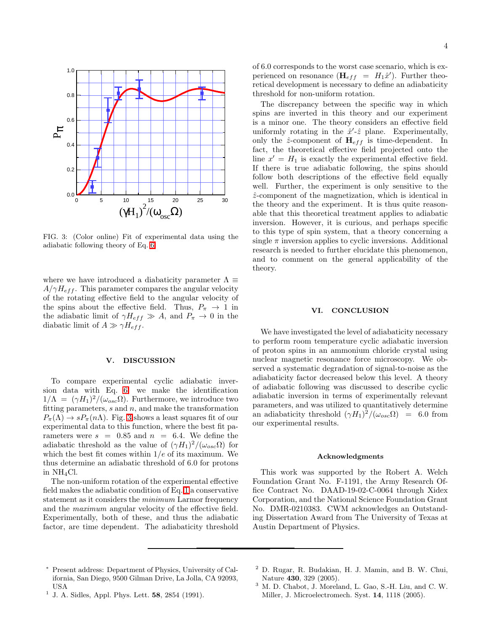

<span id="page-3-4"></span>FIG. 3: (Color online) Fit of experimental data using the adiabatic following theory of Eq. [6.](#page-2-3)

where we have introduced a diabaticity parameter  $\Lambda \equiv$  $A/\gamma H_{eff}$ . This parameter compares the angular velocity of the rotating effective field to the angular velocity of the spins about the effective field. Thus,  $P_{\pi} \to 1$  in the adiabatic limit of  $\gamma H_{eff} \gg A$ , and  $P_{\pi} \to 0$  in the diabatic limit of  $A \gg \gamma H_{eff}$ .

#### V. DISCUSSION

To compare experimental cyclic adiabatic inversion data with Eq. [6,](#page-2-3) we make the identification  $1/\Lambda = (\gamma H_1)^2/(\omega_{osc}\Omega)$ . Furthermore, we introduce two fitting parameters,  $s$  and  $n$ , and make the transformation  $P_{\pi}(\Lambda) \rightarrow s P_{\pi}(n\Lambda)$ . Fig. [3](#page-3-4) shows a least squares fit of our experimental data to this function, where the best fit parameters were  $s = 0.85$  and  $n = 6.4$ . We define the adiabatic threshold as the value of  $(\gamma H_1)^2/(\omega_{osc}\Omega)$  for which the best fit comes within  $1/e$  of its maximum. We thus determine an adiabatic threshold of 6.0 for protons in NH4Cl.

The non-uniform rotation of the experimental effective field makes the adiabatic condition of Eq. [1](#page-1-0) a conservative statement as it considers the minimum Larmor frequency and the maximum angular velocity of the effective field. Experimentally, both of these, and thus the adiabatic factor, are time dependent. The adiabaticity threshold

4

of 6.0 corresponds to the worst case scenario, which is experienced on resonance  $(\mathbf{H}_{eff} = H_1 \hat{x}')$ . Further theoretical development is necessary to define an adiabaticity threshold for non-uniform rotation.

The discrepancy between the specific way in which spins are inverted in this theory and our experiment is a minor one. The theory considers an effective field uniformly rotating in the  $\hat{x}'\text{-}\hat{z}$  plane. Experimentally, only the  $\hat{z}$ -component of  $H_{eff}$  is time-dependent. In fact, the theoretical effective field projected onto the line  $x' = H_1$  is exactly the experimental effective field. If there is true adiabatic following, the spins should follow both descriptions of the effective field equally well. Further, the experiment is only sensitive to the  $\hat{z}$ -component of the magnetization, which is identical in the theory and the experiment. It is thus quite reasonable that this theoretical treatment applies to adiabatic inversion. However, it is curious, and perhaps specific to this type of spin system, that a theory concerning a single  $\pi$  inversion applies to cyclic inversions. Additional research is needed to further elucidate this phenomenon, and to comment on the general applicability of the theory.

### VI. CONCLUSION

We have investigated the level of adiabaticity necessary to perform room temperature cyclic adiabatic inversion of proton spins in an ammonium chloride crystal using nuclear magnetic resonance force microscopy. We observed a systematic degradation of signal-to-noise as the adiabaticity factor decreased below this level. A theory of adiabatic following was discussed to describe cyclic adiabatic inversion in terms of experimentally relevant parameters, and was utilized to quantitatively determine an adiabaticity threshold  $(\gamma H_1)^2/(\omega_{osc}\Omega) = 6.0$  from our experimental results.

#### Acknowledgments

This work was supported by the Robert A. Welch Foundation Grant No. F-1191, the Army Research Office Contract No. DAAD-19-02-C-0064 through Xidex Corporation, and the National Science Foundation Grant No. DMR-0210383. CWM acknowledges an Outstanding Dissertation Award from The University of Texas at Austin Department of Physics.

<span id="page-3-0"></span><sup>∗</sup> Present address: Department of Physics, University of California, San Diego, 9500 Gilman Drive, La Jolla, CA 92093, USA

<span id="page-3-1"></span> $<sup>1</sup>$  J. A. Sidles, Appl. Phys. Lett. 58, 2854 (1991).</sup>

<span id="page-3-2"></span><sup>2</sup> D. Rugar, R. Budakian, H. J. Mamin, and B. W. Chui, Nature 430, 329 (2005).

<span id="page-3-3"></span><sup>3</sup> M. D. Chabot, J. Moreland, L. Gao, S.-H. Liu, and C. W. Miller, J. Microelectromech. Syst. 14, 1118 (2005).